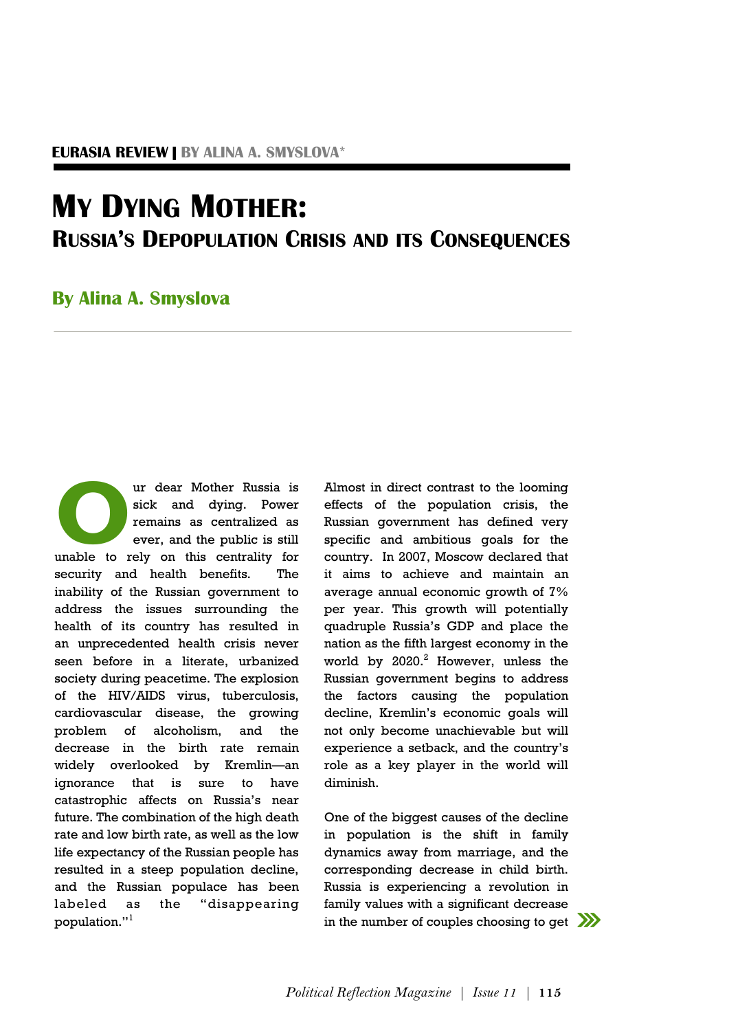## **MY DYING MOTHER: RUSSIA'S DEPOPULATION CRISIS AND ITS CONSEQUENCES**

## **By Alina A. Smyslova**

ur dear Mother Russia is<br>sick and dying. Power<br>remains as centralized as<br>ever, and the public is still<br>unable to rely on this centrality for ur dear Mother Russia is sick and dying. Power remains as centralized as ever, and the public is still security and health benefits. The inability of the Russian government to address the issues surrounding the health of its country has resulted in an unprecedented health crisis never seen before in a literate, urbanized society during peacetime. The explosion of the HIV/AIDS virus, tuberculosis, cardiovascular disease, the growing problem of alcoholism, and the decrease in the birth rate remain widely overlooked by Kremlin—an ignorance that is sure to have catastrophic affects on Russia's near future. The combination of the high death rate and low birth rate, as well as the low life expectancy of the Russian people has resulted in a steep population decline, and the Russian populace has been labeled as the "disappearing population."<sup>1</sup>

Almost in direct contrast to the looming effects of the population crisis, the Russian government has defined very specific and ambitious goals for the country. In 2007, Moscow declared that it aims to achieve and maintain an average annual economic growth of 7% per year. This growth will potentially quadruple Russia's GDP and place the nation as the fifth largest economy in the world by  $2020.<sup>2</sup>$  However, unless the Russian government begins to address the factors causing the population decline, Kremlin's economic goals will not only become unachievable but will experience a setback, and the country's role as a key player in the world will diminish.

One of the biggest causes of the decline in population is the shift in family dynamics away from marriage, and the corresponding decrease in child birth. Russia is experiencing a revolution in family values with a significant decrease in the number of couples choosing to get

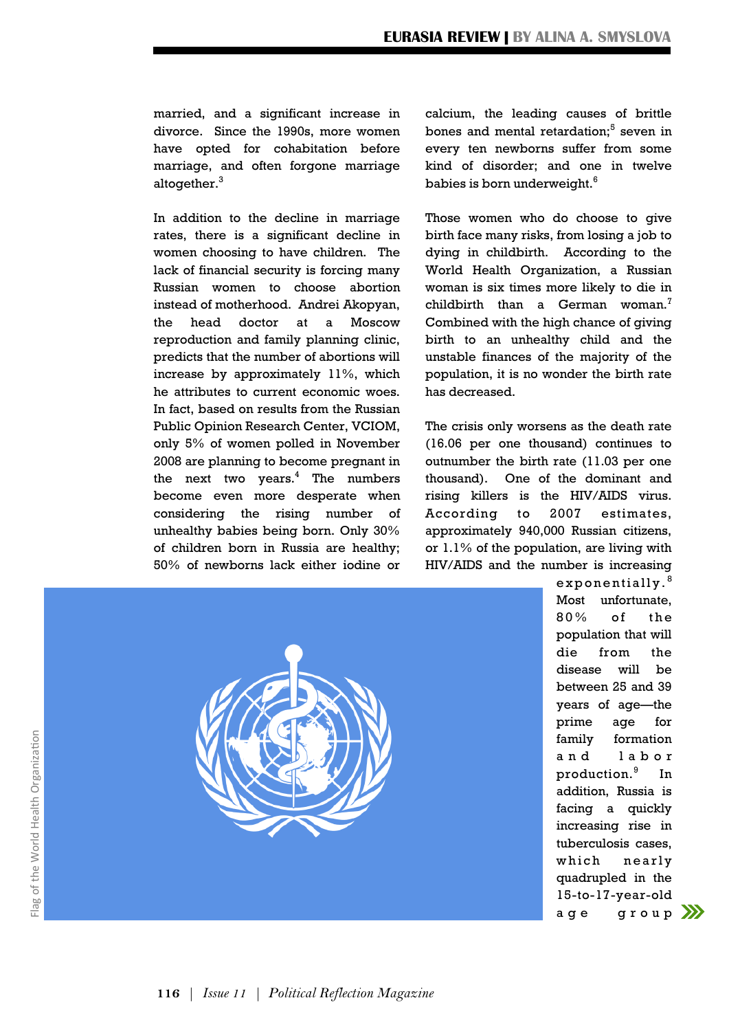married, and a significant increase in divorce. Since the 1990s, more women have opted for cohabitation before marriage, and often forgone marriage altogether. $3$ 

In addition to the decline in marriage rates, there is a significant decline in women choosing to have children. The lack of financial security is forcing many Russian women to choose abortion instead of motherhood. Andrei Akopyan, the head doctor at a Moscow reproduction and family planning clinic, predicts that the number of abortions will increase by approximately 11%, which he attributes to current economic woes. In fact, based on results from the Russian Public Opinion Research Center, VCIOM, only 5% of women polled in November 2008 are planning to become pregnant in the next two years. $4$  The numbers become even more desperate when considering the rising number of unhealthy babies being born. Only 30% of children born in Russia are healthy; 50% of newborns lack either iodine or calcium, the leading causes of brittle bones and mental retardation;<sup>5</sup> seven in every ten newborns suffer from some kind of disorder; and one in twelve babies is born underweight.<sup>6</sup>

Those women who do choose to give birth face many risks, from losing a job to dying in childbirth. According to the World Health Organization, a Russian woman is six times more likely to die in childbirth than a German woman.<sup>7</sup> Combined with the high chance of giving birth to an unhealthy child and the unstable finances of the majority of the population, it is no wonder the birth rate has decreased.

The crisis only worsens as the death rate (16.06 per one thousand) continues to outnumber the birth rate (11.03 per one thousand). One of the dominant and rising killers is the HIV/AIDS virus. According to 2007 estimates, approximately 940,000 Russian citizens, or 1.1% of the population, are living with HIV/AIDS and the number is increasing



 $exponentially.<sup>8</sup>$ Most unfortunate,  $80\%$  of the population that will die from the disease will be between 25 and 39 years of age—the prime age for family formation and labor production.<sup>9</sup> In addition, Russia is facing a quickly increasing rise in tuberculosis cases, which nearly quadrupled in the 15-to-17-year-old age group  $\mathcal{W}$ 

**116** | *Issue 11 | Political Reflection Magazine*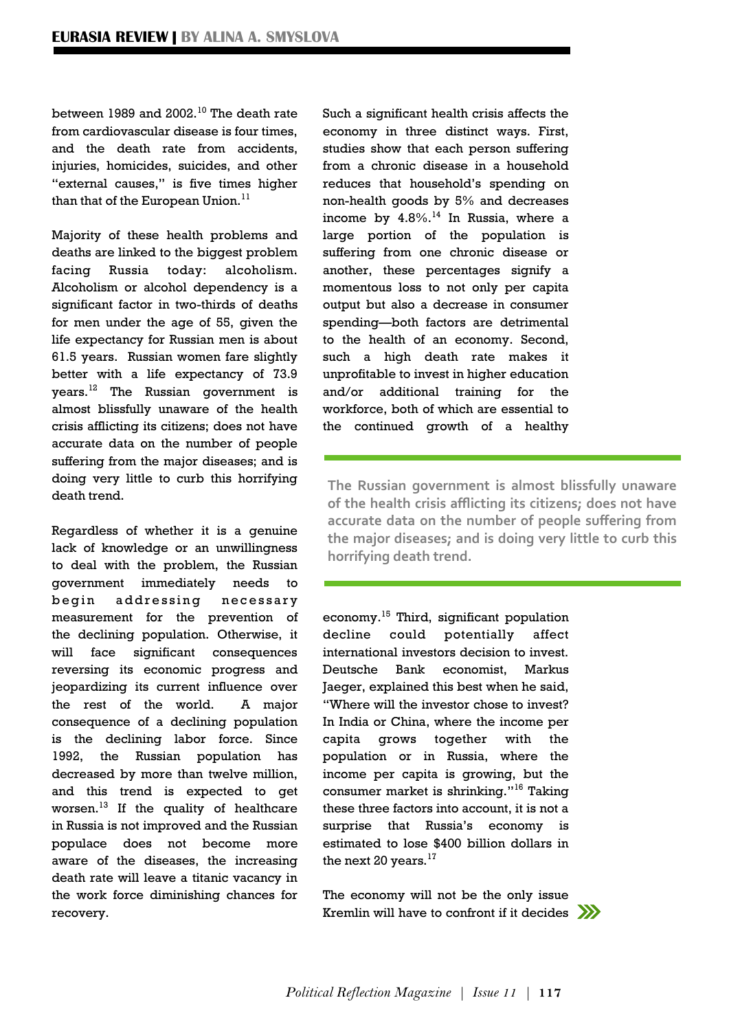between 1989 and 2002.<sup>10</sup> The death rate from cardiovascular disease is four times, and the death rate from accidents, injuries, homicides, suicides, and other "external causes," is five times higher than that of the European Union. $<sup>11</sup>$ </sup>

Majority of these health problems and deaths are linked to the biggest problem facing Russia today: alcoholism. Alcoholism or alcohol dependency is a significant factor in two-thirds of deaths for men under the age of 55, given the life expectancy for Russian men is about 61.5 years. Russian women fare slightly better with a life expectancy of 73.9 years.<sup>12</sup> The Russian government is almost blissfully unaware of the health crisis afflicting its citizens; does not have accurate data on the number of people suffering from the major diseases; and is doing very little to curb this horrifying death trend.

Regardless of whether it is a genuine lack of knowledge or an unwillingness to deal with the problem, the Russian government immediately needs to begin addressing necessary measurement for the prevention of the declining population. Otherwise, it will face significant consequences reversing its economic progress and jeopardizing its current influence over the rest of the world. A major consequence of a declining population is the declining labor force. Since 1992, the Russian population has decreased by more than twelve million, and this trend is expected to get worsen. $^{13}$  If the quality of healthcare in Russia is not improved and the Russian populace does not become more aware of the diseases, the increasing death rate will leave a titanic vacancy in the work force diminishing chances for recovery.

Such a significant health crisis affects the economy in three distinct ways. First, studies show that each person suffering from a chronic disease in a household reduces that household's spending on non-health goods by 5% and decreases income by  $4.8\%$ .<sup>14</sup> In Russia, where a large portion of the population is suffering from one chronic disease or another, these percentages signify a momentous loss to not only per capita output but also a decrease in consumer spending—both factors are detrimental to the health of an economy. Second, such a high death rate makes it unprofitable to invest in higher education and/or additional training for the workforce, both of which are essential to the continued growth of a healthy

**The Russian government is almost blissfully unaware of the health crisis afflicting its citizens; does not have accurate data on the number of people suffering from the major diseases; and is doing very little to curb this horrifying death trend.**

economy.<sup>15</sup> Third, significant population decline could potentially affect international investors decision to invest. Deutsche Bank economist, Markus Jaeger, explained this best when he said, "Where will the investor chose to invest? In India or China, where the income per capita grows together with the population or in Russia, where the income per capita is growing, but the consumer market is shrinking."<sup>16</sup> Taking these three factors into account, it is not a surprise that Russia's economy is estimated to lose \$400 billion dollars in the next 20 years. $^{17}$ 

The economy will not be the only issue Kremlin will have to confront if it decides  $\sum$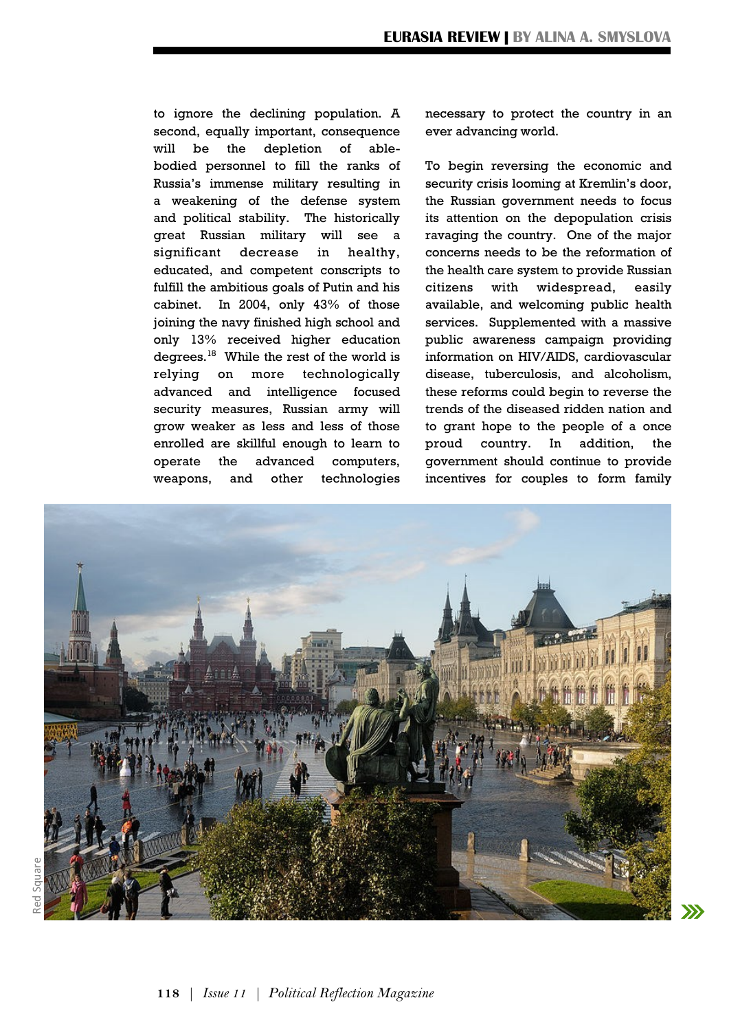to ignore the declining population. A second, equally important, consequence will be the depletion of ablebodied personnel to fill the ranks of Russia's immense military resulting in a weakening of the defense system and political stability. The historically great Russian military will see a significant decrease in healthy, educated, and competent conscripts to fulfill the ambitious goals of Putin and his cabinet. In 2004, only 43% of those joining the navy finished high school and only 13% received higher education degrees.<sup>18</sup> While the rest of the world is relying on more technologically advanced and intelligence focused security measures, Russian army will grow weaker as less and less of those enrolled are skillful enough to learn to operate the advanced computers, weapons, and other technologies

necessary to protect the country in an ever advancing world.

To begin reversing the economic and security crisis looming at Kremlin's door, the Russian government needs to focus its attention on the depopulation crisis ravaging the country. One of the major concerns needs to be the reformation of the health care system to provide Russian citizens with widespread, easily available, and welcoming public health services. Supplemented with a massive public awareness campaign providing information on HIV/AIDS, cardiovascular disease, tuberculosis, and alcoholism, these reforms could begin to reverse the trends of the diseased ridden nation and to grant hope to the people of a once proud country. In addition, the government should continue to provide incentives for couples to form family